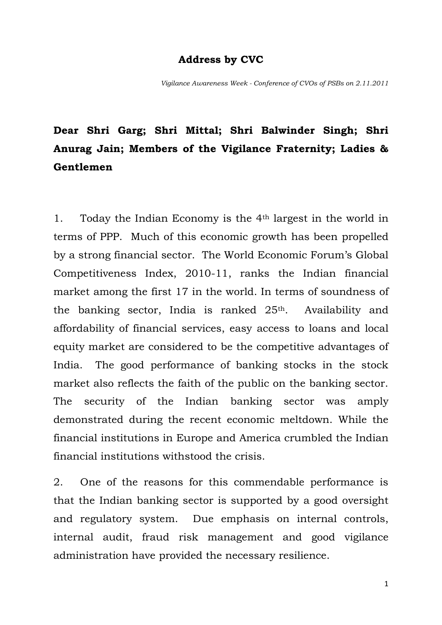## **Address by CVC**

*Vigilance Awareness Week - Conference of CVOs of PSBs on 2.11.2011*

## **Dear Shri Garg; Shri Mittal; Shri Balwinder Singh; Shri Anurag Jain; Members of the Vigilance Fraternity; Ladies & Gentlemen**

1. Today the Indian Economy is the  $4<sup>th</sup>$  largest in the world in terms of PPP. Much of this economic growth has been propelled by a strong financial sector. The World Economic Forum's Global Competitiveness Index, 2010-11, ranks the Indian financial market among the first 17 in the world. In terms of soundness of the banking sector, India is ranked 25th. Availability and affordability of financial services, easy access to loans and local equity market are considered to be the competitive advantages of India. The good performance of banking stocks in the stock market also reflects the faith of the public on the banking sector. The security of the Indian banking sector was amply demonstrated during the recent economic meltdown. While the financial institutions in Europe and America crumbled the Indian financial institutions withstood the crisis.

2. One of the reasons for this commendable performance is that the Indian banking sector is supported by a good oversight and regulatory system. Due emphasis on internal controls, internal audit, fraud risk management and good vigilance administration have provided the necessary resilience.

1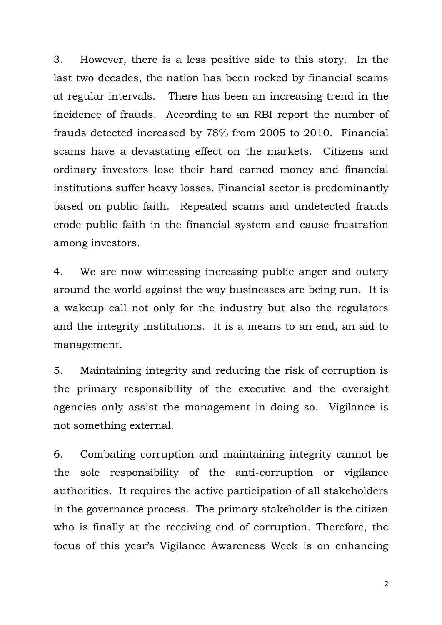3. However, there is a less positive side to this story. In the last two decades, the nation has been rocked by financial scams at regular intervals. There has been an increasing trend in the incidence of frauds. According to an RBI report the number of frauds detected increased by 78% from 2005 to 2010. Financial scams have a devastating effect on the markets. Citizens and ordinary investors lose their hard earned money and financial institutions suffer heavy losses. Financial sector is predominantly based on public faith. Repeated scams and undetected frauds erode public faith in the financial system and cause frustration among investors.

4. We are now witnessing increasing public anger and outcry around the world against the way businesses are being run. It is a wakeup call not only for the industry but also the regulators and the integrity institutions. It is a means to an end, an aid to management.

5. Maintaining integrity and reducing the risk of corruption is the primary responsibility of the executive and the oversight agencies only assist the management in doing so. Vigilance is not something external.

6. Combating corruption and maintaining integrity cannot be the sole responsibility of the anti-corruption or vigilance authorities. It requires the active participation of all stakeholders in the governance process. The primary stakeholder is the citizen who is finally at the receiving end of corruption. Therefore, the focus of this year's Vigilance Awareness Week is on enhancing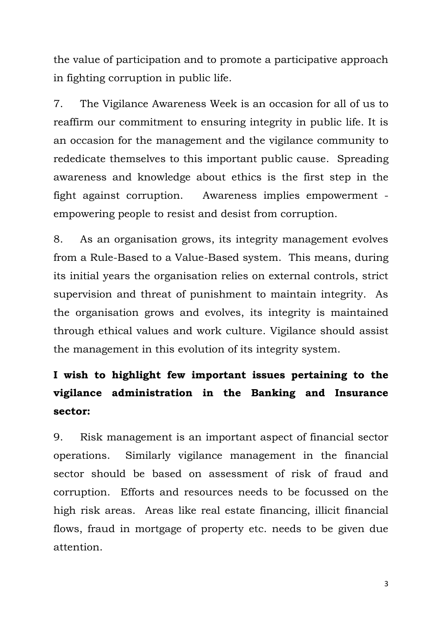the value of participation and to promote a participative approach in fighting corruption in public life.

7. The Vigilance Awareness Week is an occasion for all of us to reaffirm our commitment to ensuring integrity in public life. It is an occasion for the management and the vigilance community to rededicate themselves to this important public cause. Spreading awareness and knowledge about ethics is the first step in the fight against corruption. Awareness implies empowerment empowering people to resist and desist from corruption.

8. As an organisation grows, its integrity management evolves from a Rule-Based to a Value-Based system. This means, during its initial years the organisation relies on external controls, strict supervision and threat of punishment to maintain integrity. As the organisation grows and evolves, its integrity is maintained through ethical values and work culture. Vigilance should assist the management in this evolution of its integrity system.

## **I wish to highlight few important issues pertaining to the vigilance administration in the Banking and Insurance sector:**

9. Risk management is an important aspect of financial sector operations. Similarly vigilance management in the financial sector should be based on assessment of risk of fraud and corruption. Efforts and resources needs to be focussed on the high risk areas. Areas like real estate financing, illicit financial flows, fraud in mortgage of property etc. needs to be given due attention.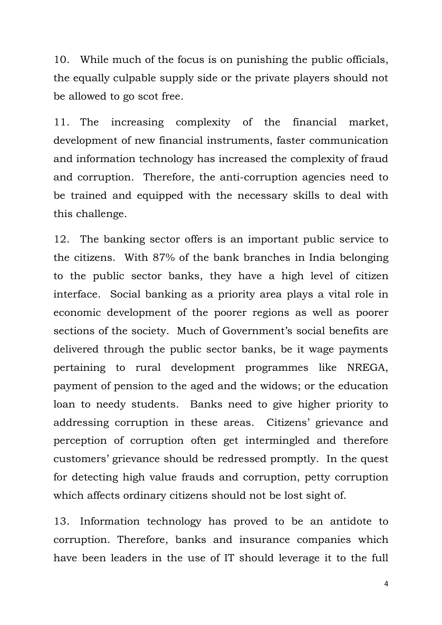10. While much of the focus is on punishing the public officials, the equally culpable supply side or the private players should not be allowed to go scot free.

11. The increasing complexity of the financial market, development of new financial instruments, faster communication and information technology has increased the complexity of fraud and corruption. Therefore, the anti-corruption agencies need to be trained and equipped with the necessary skills to deal with this challenge.

12. The banking sector offers is an important public service to the citizens. With 87% of the bank branches in India belonging to the public sector banks, they have a high level of citizen interface. Social banking as a priority area plays a vital role in economic development of the poorer regions as well as poorer sections of the society. Much of Government's social benefits are delivered through the public sector banks, be it wage payments pertaining to rural development programmes like NREGA, payment of pension to the aged and the widows; or the education loan to needy students. Banks need to give higher priority to addressing corruption in these areas. Citizens' grievance and perception of corruption often get intermingled and therefore customers' grievance should be redressed promptly. In the quest for detecting high value frauds and corruption, petty corruption which affects ordinary citizens should not be lost sight of.

13. Information technology has proved to be an antidote to corruption. Therefore, banks and insurance companies which have been leaders in the use of IT should leverage it to the full

4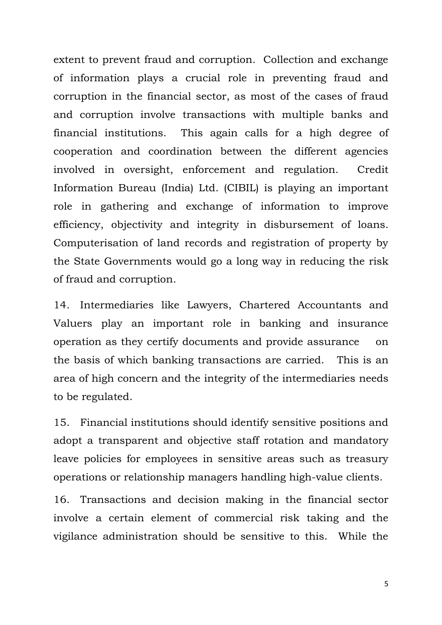extent to prevent fraud and corruption. Collection and exchange of information plays a crucial role in preventing fraud and corruption in the financial sector, as most of the cases of fraud and corruption involve transactions with multiple banks and financial institutions. This again calls for a high degree of cooperation and coordination between the different agencies involved in oversight, enforcement and regulation. Credit Information Bureau (India) Ltd. (CIBIL) is playing an important role in gathering and exchange of information to improve efficiency, objectivity and integrity in disbursement of loans. Computerisation of land records and registration of property by the State Governments would go a long way in reducing the risk of fraud and corruption.

14. Intermediaries like Lawyers, Chartered Accountants and Valuers play an important role in banking and insurance operation as they certify documents and provide assurance on the basis of which banking transactions are carried. This is an area of high concern and the integrity of the intermediaries needs to be regulated.

15. Financial institutions should identify sensitive positions and adopt a transparent and objective staff rotation and mandatory leave policies for employees in sensitive areas such as treasury operations or relationship managers handling high-value clients.

16. Transactions and decision making in the financial sector involve a certain element of commercial risk taking and the vigilance administration should be sensitive to this. While the